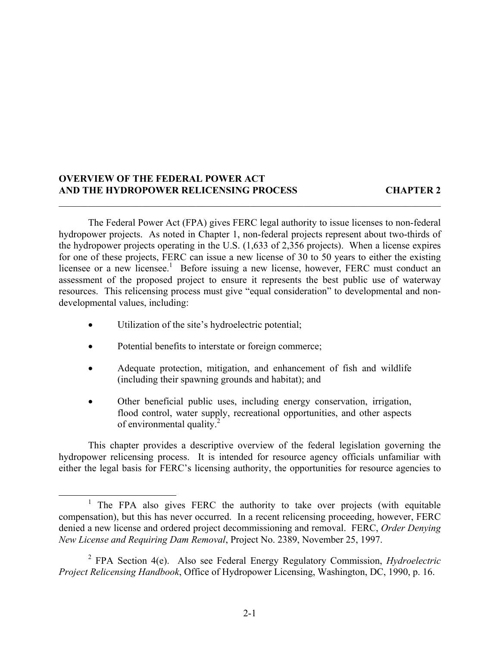#### **OVERVIEW OF THE FEDERAL POWER ACT AND THE HYDROPOWER RELICENSING PROCESS CHAPTER 2**

The Federal Power Act (FPA) gives FERC legal authority to issue licenses to non-federal hydropower projects. As noted in Chapter 1, non-federal projects represent about two-thirds of the hydropower projects operating in the U.S. (1,633 of 2,356 projects). When a license expires for one of these projects, FERC can issue a new license of 30 to 50 years to either the existing licensee or a new licensee.<sup>1</sup> Before issuing a new license, however, FERC must conduct an assessment of the proposed project to ensure it represents the best public use of waterway resources. This relicensing process must give "equal consideration" to developmental and nondevelopmental values, including:

 $\mathcal{L}_\mathcal{L} = \mathcal{L}_\mathcal{L} = \mathcal{L}_\mathcal{L} = \mathcal{L}_\mathcal{L} = \mathcal{L}_\mathcal{L} = \mathcal{L}_\mathcal{L} = \mathcal{L}_\mathcal{L} = \mathcal{L}_\mathcal{L} = \mathcal{L}_\mathcal{L} = \mathcal{L}_\mathcal{L} = \mathcal{L}_\mathcal{L} = \mathcal{L}_\mathcal{L} = \mathcal{L}_\mathcal{L} = \mathcal{L}_\mathcal{L} = \mathcal{L}_\mathcal{L} = \mathcal{L}_\mathcal{L} = \mathcal{L}_\mathcal{L}$ 

- Utilization of the site's hydroelectric potential;
- Potential benefits to interstate or foreign commerce;
- Adequate protection, mitigation, and enhancement of fish and wildlife (including their spawning grounds and habitat); and
- Other beneficial public uses, including energy conservation, irrigation, flood control, water supply, recreational opportunities, and other aspects of environmental quality.<sup>2</sup>

This chapter provides a descriptive overview of the federal legislation governing the hydropower relicensing process. It is intended for resource agency officials unfamiliar with either the legal basis for FERC's licensing authority, the opportunities for resource agencies to

<sup>&</sup>lt;sup>1</sup> The FPA also gives FERC the authority to take over projects (with equitable compensation), but this has never occurred. In a recent relicensing proceeding, however, FERC denied a new license and ordered project decommissioning and removal. FERC, *Order Denying New License and Requiring Dam Removal*, Project No. 2389, November 25, 1997.

<sup>2</sup> FPA Section 4(e). Also see Federal Energy Regulatory Commission, *Hydroelectric Project Relicensing Handbook*, Office of Hydropower Licensing, Washington, DC, 1990, p. 16.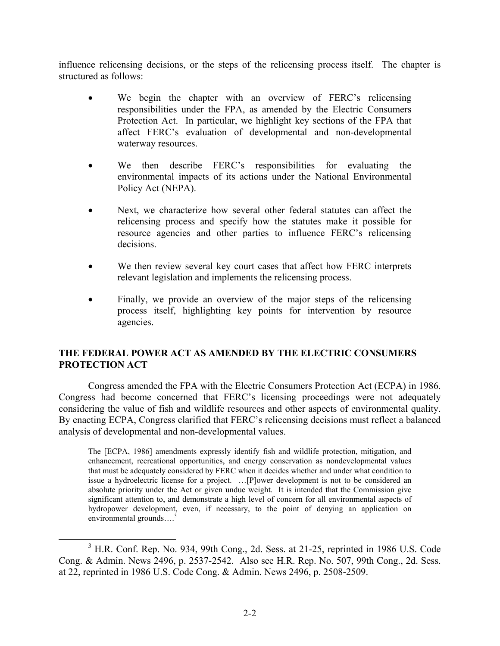influence relicensing decisions, or the steps of the relicensing process itself. The chapter is structured as follows:

- We begin the chapter with an overview of FERC's relicensing responsibilities under the FPA, as amended by the Electric Consumers Protection Act. In particular, we highlight key sections of the FPA that affect FERC's evaluation of developmental and non-developmental waterway resources.
- We then describe FERC's responsibilities for evaluating the environmental impacts of its actions under the National Environmental Policy Act (NEPA).
- Next, we characterize how several other federal statutes can affect the relicensing process and specify how the statutes make it possible for resource agencies and other parties to influence FERC's relicensing decisions.
- We then review several key court cases that affect how FERC interprets relevant legislation and implements the relicensing process.
- Finally, we provide an overview of the major steps of the relicensing process itself, highlighting key points for intervention by resource agencies.

## **THE FEDERAL POWER ACT AS AMENDED BY THE ELECTRIC CONSUMERS PROTECTION ACT**

Congress amended the FPA with the Electric Consumers Protection Act (ECPA) in 1986. Congress had become concerned that FERC's licensing proceedings were not adequately considering the value of fish and wildlife resources and other aspects of environmental quality. By enacting ECPA, Congress clarified that FERC's relicensing decisions must reflect a balanced analysis of developmental and non-developmental values.

The [ECPA, 1986] amendments expressly identify fish and wildlife protection, mitigation, and enhancement, recreational opportunities, and energy conservation as nondevelopmental values that must be adequately considered by FERC when it decides whether and under what condition to issue a hydroelectric license for a project. …[P]ower development is not to be considered an absolute priority under the Act or given undue weight. It is intended that the Commission give significant attention to, and demonstrate a high level of concern for all environmental aspects of hydropower development, even, if necessary, to the point of denying an application on environmental grounds...<sup>3</sup>

<sup>&</sup>lt;sup>3</sup> H.R. Conf. Rep. No. 934, 99th Cong., 2d. Sess. at 21-25, reprinted in 1986 U.S. Code Cong. & Admin. News 2496, p. 2537-2542. Also see H.R. Rep. No. 507, 99th Cong., 2d. Sess. at 22, reprinted in 1986 U.S. Code Cong. & Admin. News 2496, p. 2508-2509.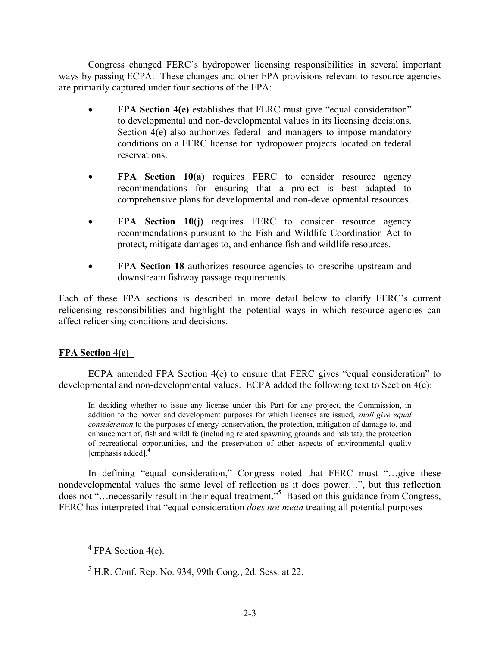Congress changed FERC's hydropower licensing responsibilities in several important ways by passing ECPA. These changes and other FPA provisions relevant to resource agencies are primarily captured under four sections of the FPA:

- **FPA Section 4(e)** establishes that FERC must give "equal consideration" to developmental and non-developmental values in its licensing decisions. Section 4(e) also authorizes federal land managers to impose mandatory conditions on a FERC license for hydropower projects located on federal reservations.
- **FPA Section 10(a)** requires FERC to consider resource agency recommendations for ensuring that a project is best adapted to comprehensive plans for developmental and non-developmental resources.
- **FPA Section 10(j)** requires FERC to consider resource agency recommendations pursuant to the Fish and Wildlife Coordination Act to protect, mitigate damages to, and enhance fish and wildlife resources.
- **FPA Section 18** authorizes resource agencies to prescribe upstream and downstream fishway passage requirements.

Each of these FPA sections is described in more detail below to clarify FERC's current relicensing responsibilities and highlight the potential ways in which resource agencies can affect relicensing conditions and decisions.

# **FPA Section 4(e)**

ECPA amended FPA Section 4(e) to ensure that FERC gives "equal consideration" to developmental and non-developmental values. ECPA added the following text to Section 4(e):

In deciding whether to issue any license under this Part for any project, the Commission, in addition to the power and development purposes for which licenses are issued, *shall give equal consideration* to the purposes of energy conservation, the protection, mitigation of damage to, and enhancement of, fish and wildlife (including related spawning grounds and habitat), the protection of recreational opportunities, and the preservation of other aspects of environmental quality [emphasis added].<sup>4</sup>

In defining "equal consideration," Congress noted that FERC must "…give these nondevelopmental values the same level of reflection as it does power…", but this reflection does not "…necessarily result in their equal treatment."5 Based on this guidance from Congress, FERC has interpreted that "equal consideration *does not mean* treating all potential purposes

 $4$  FPA Section 4(e).

 $<sup>5</sup>$  H.R. Conf. Rep. No. 934, 99th Cong., 2d. Sess. at 22.</sup>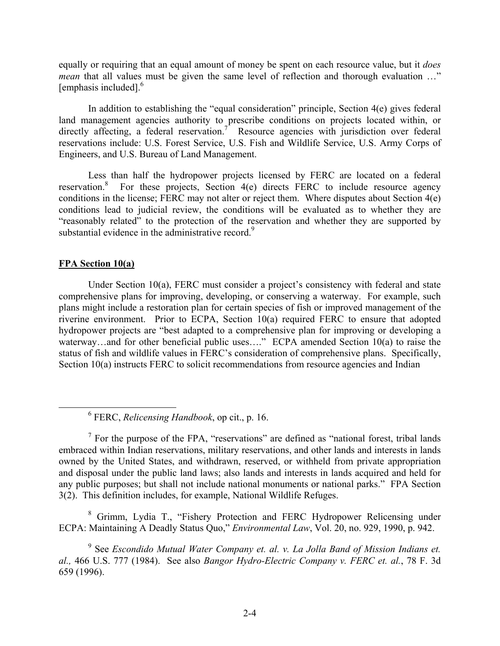equally or requiring that an equal amount of money be spent on each resource value, but it *does mean* that all values must be given the same level of reflection and thorough evaluation ..." [emphasis included].<sup>6</sup>

In addition to establishing the "equal consideration" principle, Section 4(e) gives federal land management agencies authority to prescribe conditions on projects located within, or directly affecting, a federal reservation.<sup>7</sup> Resource agencies with jurisdiction over federal reservations include: U.S. Forest Service, U.S. Fish and Wildlife Service, U.S. Army Corps of Engineers, and U.S. Bureau of Land Management.

Less than half the hydropower projects licensed by FERC are located on a federal reservation.8 For these projects, Section 4(e) directs FERC to include resource agency conditions in the license; FERC may not alter or reject them. Where disputes about Section 4(e) conditions lead to judicial review, the conditions will be evaluated as to whether they are "reasonably related" to the protection of the reservation and whether they are supported by substantial evidence in the administrative record.<sup>9</sup>

### **FPA Section 10(a)**

Under Section 10(a), FERC must consider a project's consistency with federal and state comprehensive plans for improving, developing, or conserving a waterway. For example, such plans might include a restoration plan for certain species of fish or improved management of the riverine environment. Prior to ECPA, Section 10(a) required FERC to ensure that adopted hydropower projects are "best adapted to a comprehensive plan for improving or developing a waterway…and for other beneficial public uses…." ECPA amended Section 10(a) to raise the status of fish and wildlife values in FERC's consideration of comprehensive plans. Specifically, Section 10(a) instructs FERC to solicit recommendations from resource agencies and Indian

<sup>8</sup> Grimm, Lydia T., "Fishery Protection and FERC Hydropower Relicensing under ECPA: Maintaining A Deadly Status Quo," *Environmental Law*, Vol. 20, no. 929, 1990, p. 942.

<sup>6</sup> FERC, *Relicensing Handbook*, op cit., p. 16.

 $<sup>7</sup>$  For the purpose of the FPA, "reservations" are defined as "national forest, tribal lands</sup> embraced within Indian reservations, military reservations, and other lands and interests in lands owned by the United States, and withdrawn, reserved, or withheld from private appropriation and disposal under the public land laws; also lands and interests in lands acquired and held for any public purposes; but shall not include national monuments or national parks." FPA Section 3(2). This definition includes, for example, National Wildlife Refuges.

<sup>&</sup>lt;sup>9</sup> See *Escondido Mutual Water Company et. al. v. La Jolla Band of Mission Indians et. al.,* 466 U.S. 777 (1984). See also *Bangor Hydro-Electric Company v. FERC et. al.*, 78 F. 3d 659 (1996).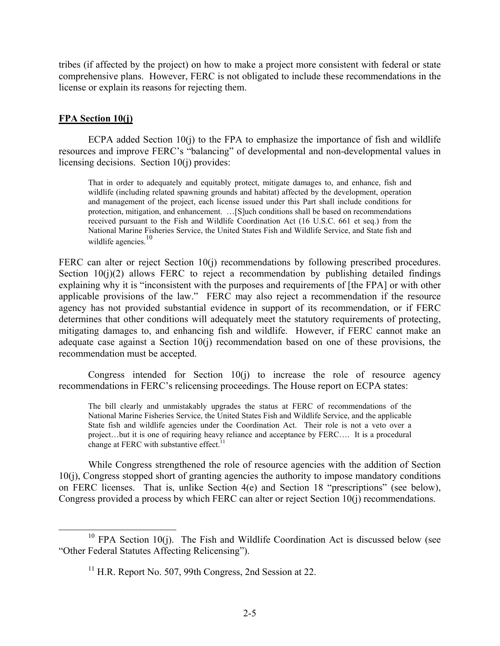tribes (if affected by the project) on how to make a project more consistent with federal or state comprehensive plans. However, FERC is not obligated to include these recommendations in the license or explain its reasons for rejecting them.

## **FPA Section 10(j)**

ECPA added Section  $10(j)$  to the FPA to emphasize the importance of fish and wildlife resources and improve FERC's "balancing" of developmental and non-developmental values in licensing decisions. Section 10(j) provides:

That in order to adequately and equitably protect, mitigate damages to, and enhance, fish and wildlife (including related spawning grounds and habitat) affected by the development, operation and management of the project, each license issued under this Part shall include conditions for protection, mitigation, and enhancement. …[S]uch conditions shall be based on recommendations received pursuant to the Fish and Wildlife Coordination Act (16 U.S.C. 661 et seq.) from the National Marine Fisheries Service, the United States Fish and Wildlife Service, and State fish and wildlife agencies.<sup>10</sup>

FERC can alter or reject Section 10(j) recommendations by following prescribed procedures. Section  $10(i)(2)$  allows FERC to reject a recommendation by publishing detailed findings explaining why it is "inconsistent with the purposes and requirements of [the FPA] or with other applicable provisions of the law." FERC may also reject a recommendation if the resource agency has not provided substantial evidence in support of its recommendation, or if FERC determines that other conditions will adequately meet the statutory requirements of protecting, mitigating damages to, and enhancing fish and wildlife. However, if FERC cannot make an adequate case against a Section 10(j) recommendation based on one of these provisions, the recommendation must be accepted.

Congress intended for Section 10(j) to increase the role of resource agency recommendations in FERC's relicensing proceedings. The House report on ECPA states:

The bill clearly and unmistakably upgrades the status at FERC of recommendations of the National Marine Fisheries Service, the United States Fish and Wildlife Service, and the applicable State fish and wildlife agencies under the Coordination Act. Their role is not a veto over a project…but it is one of requiring heavy reliance and acceptance by FERC…. It is a procedural change at FERC with substantive effect. $11$ 

While Congress strengthened the role of resource agencies with the addition of Section 10(j), Congress stopped short of granting agencies the authority to impose mandatory conditions on FERC licenses. That is, unlike Section 4(e) and Section 18 "prescriptions" (see below), Congress provided a process by which FERC can alter or reject Section 10(j) recommendations.

 $10$  FPA Section 10(j). The Fish and Wildlife Coordination Act is discussed below (see "Other Federal Statutes Affecting Relicensing").

 $11$  H.R. Report No. 507, 99th Congress, 2nd Session at 22.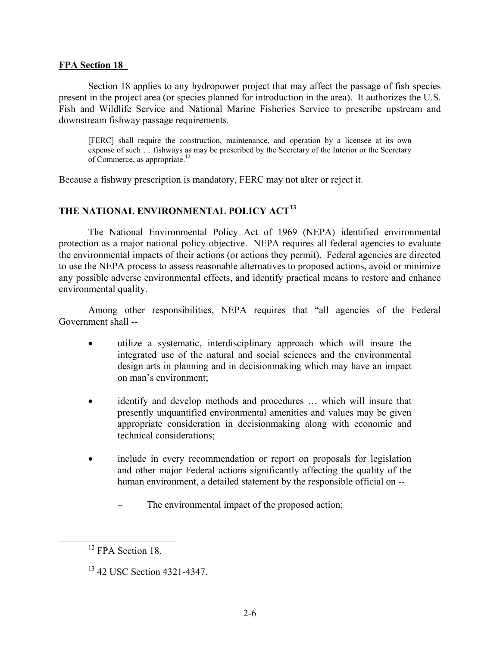#### **FPA Section 18**

Section 18 applies to any hydropower project that may affect the passage of fish species present in the project area (or species planned for introduction in the area). It authorizes the U.S. Fish and Wildlife Service and National Marine Fisheries Service to prescribe upstream and downstream fishway passage requirements.

[FERC] shall require the construction, maintenance, and operation by a licensee at its own expense of such … fishways as may be prescribed by the Secretary of the Interior or the Secretary of Commerce, as appropriate.<sup>12</sup>

Because a fishway prescription is mandatory, FERC may not alter or reject it.

### **THE NATIONAL ENVIRONMENTAL POLICY ACT<sup>13</sup>**

The National Environmental Policy Act of 1969 (NEPA) identified environmental protection as a major national policy objective. NEPA requires all federal agencies to evaluate the environmental impacts of their actions (or actions they permit). Federal agencies are directed to use the NEPA process to assess reasonable alternatives to proposed actions, avoid or minimize any possible adverse environmental effects, and identify practical means to restore and enhance environmental quality.

Among other responsibilities, NEPA requires that "all agencies of the Federal Government shall --

- utilize a systematic, interdisciplinary approach which will insure the integrated use of the natural and social sciences and the environmental design arts in planning and in decisionmaking which may have an impact on man's environment;
- identify and develop methods and procedures ... which will insure that presently unquantified environmental amenities and values may be given appropriate consideration in decisionmaking along with economic and technical considerations;
- include in every recommendation or report on proposals for legislation and other major Federal actions significantly affecting the quality of the human environment, a detailed statement by the responsible official on --
	- − The environmental impact of the proposed action;

<sup>&</sup>lt;sup>12</sup> FPA Section 18.

<sup>&</sup>lt;sup>13</sup> 42 USC Section 4321-4347.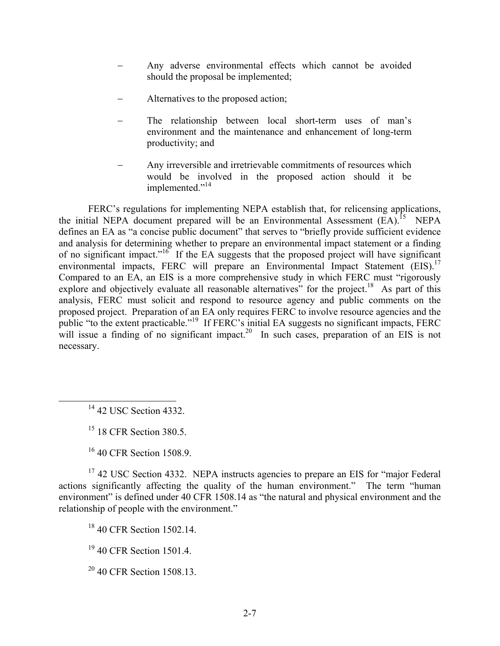- Any adverse environmental effects which cannot be avoided should the proposal be implemented;
- Alternatives to the proposed action;
- The relationship between local short-term uses of man's environment and the maintenance and enhancement of long-term productivity; and
- Any irreversible and irretrievable commitments of resources which would be involved in the proposed action should it be implemented."<sup>14</sup>

FERC's regulations for implementing NEPA establish that, for relicensing applications, the initial NEPA document prepared will be an Environmental Assessment  $(EA)$ .<sup>15</sup> NEPA defines an EA as "a concise public document" that serves to "briefly provide sufficient evidence and analysis for determining whether to prepare an environmental impact statement or a finding of no significant impact."<sup>16</sup> If the EA suggests that the proposed project will have significant environmental impacts, FERC will prepare an Environmental Impact Statement (EIS).<sup>17</sup> Compared to an EA, an EIS is a more comprehensive study in which FERC must "rigorously explore and objectively evaluate all reasonable alternatives" for the project.<sup>18</sup> As part of this analysis, FERC must solicit and respond to resource agency and public comments on the proposed project. Preparation of an EA only requires FERC to involve resource agencies and the public "to the extent practicable."<sup>19</sup> If FERC's initial EA suggests no significant impacts, FERC will issue a finding of no significant impact.<sup>20</sup> In such cases, preparation of an EIS is not necessary.

<sup>14</sup> 42 USC Section 4332.

 $15$  18 CFR Section 380.5.

<sup>16</sup> 40 CFR Section 1508.9.

<sup>17</sup> 42 USC Section 4332. NEPA instructs agencies to prepare an EIS for "major Federal" actions significantly affecting the quality of the human environment." The term "human environment" is defined under 40 CFR 1508.14 as "the natural and physical environment and the relationship of people with the environment."

<sup>18</sup> 40 CFR Section 1502.14.

<sup>19</sup> 40 CFR Section 1501.4.

 $20\,40$  CFR Section 1508.13.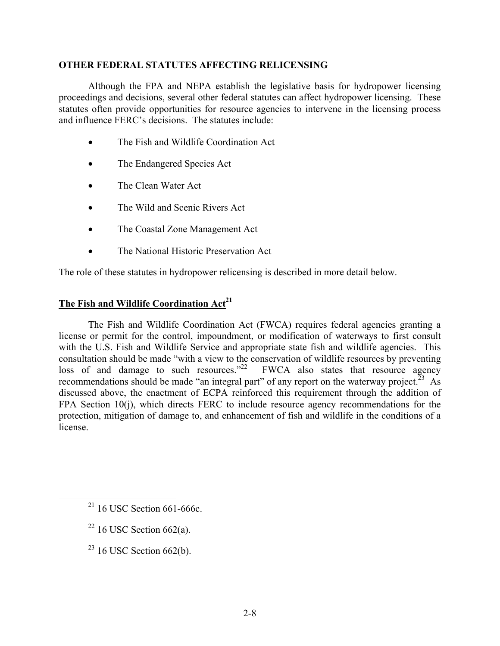### **OTHER FEDERAL STATUTES AFFECTING RELICENSING**

Although the FPA and NEPA establish the legislative basis for hydropower licensing proceedings and decisions, several other federal statutes can affect hydropower licensing. These statutes often provide opportunities for resource agencies to intervene in the licensing process and influence FERC's decisions. The statutes include:

- The Fish and Wildlife Coordination Act
- The Endangered Species Act
- The Clean Water Act
- The Wild and Scenic Rivers Act
- The Coastal Zone Management Act
- The National Historic Preservation Act

The role of these statutes in hydropower relicensing is described in more detail below.

# **The Fish and Wildlife Coordination Act<sup>21</sup>**

The Fish and Wildlife Coordination Act (FWCA) requires federal agencies granting a license or permit for the control, impoundment, or modification of waterways to first consult with the U.S. Fish and Wildlife Service and appropriate state fish and wildlife agencies. This consultation should be made "with a view to the conservation of wildlife resources by preventing loss of and damage to such resources. $12^2$  FWCA also states that resource agency recommendations should be made "an integral part" of any report on the waterway project.<sup>23</sup> As discussed above, the enactment of ECPA reinforced this requirement through the addition of FPA Section 10(j), which directs FERC to include resource agency recommendations for the protection, mitigation of damage to, and enhancement of fish and wildlife in the conditions of a license.

- $22$  16 USC Section 662(a).
- $23$  16 USC Section 662(b).

 $21$  16 USC Section 661-666c.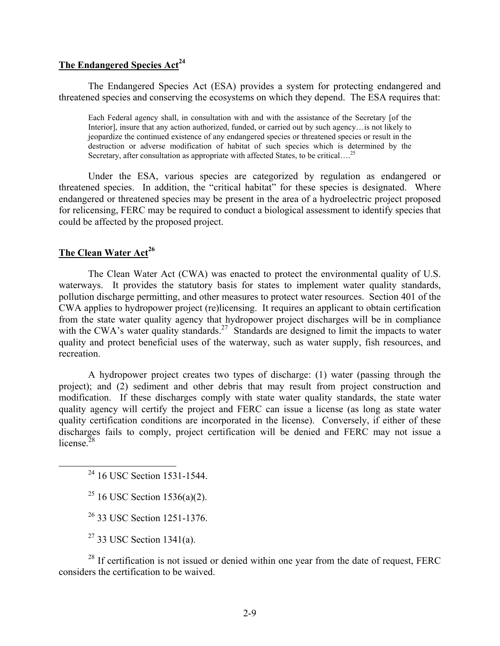# The Endangered Species Act<sup>24</sup>

The Endangered Species Act (ESA) provides a system for protecting endangered and threatened species and conserving the ecosystems on which they depend. The ESA requires that:

Each Federal agency shall, in consultation with and with the assistance of the Secretary [of the Interior], insure that any action authorized, funded, or carried out by such agency…is not likely to jeopardize the continued existence of any endangered species or threatened species or result in the destruction or adverse modification of habitat of such species which is determined by the Secretary, after consultation as appropriate with affected States, to be critical....<sup>25</sup>

Under the ESA, various species are categorized by regulation as endangered or threatened species. In addition, the "critical habitat" for these species is designated. Where endangered or threatened species may be present in the area of a hydroelectric project proposed for relicensing, FERC may be required to conduct a biological assessment to identify species that could be affected by the proposed project.

## **The Clean Water Act<sup>26</sup>**

The Clean Water Act (CWA) was enacted to protect the environmental quality of U.S. waterways. It provides the statutory basis for states to implement water quality standards, pollution discharge permitting, and other measures to protect water resources. Section 401 of the CWA applies to hydropower project (re)licensing. It requires an applicant to obtain certification from the state water quality agency that hydropower project discharges will be in compliance with the CWA's water quality standards.<sup>27</sup> Standards are designed to limit the impacts to water quality and protect beneficial uses of the waterway, such as water supply, fish resources, and recreation.

A hydropower project creates two types of discharge: (1) water (passing through the project); and (2) sediment and other debris that may result from project construction and modification. If these discharges comply with state water quality standards, the state water quality agency will certify the project and FERC can issue a license (as long as state water quality certification conditions are incorporated in the license). Conversely, if either of these discharges fails to comply, project certification will be denied and FERC may not issue a license  $^{28}$ 

<sup>24</sup> 16 USC Section 1531-1544.

<sup>25</sup> 16 USC Section 1536(a)(2).

26 33 USC Section 1251-1376.

 $27$  33 USC Section 1341(a).

 $28$  If certification is not issued or denied within one year from the date of request, FERC considers the certification to be waived.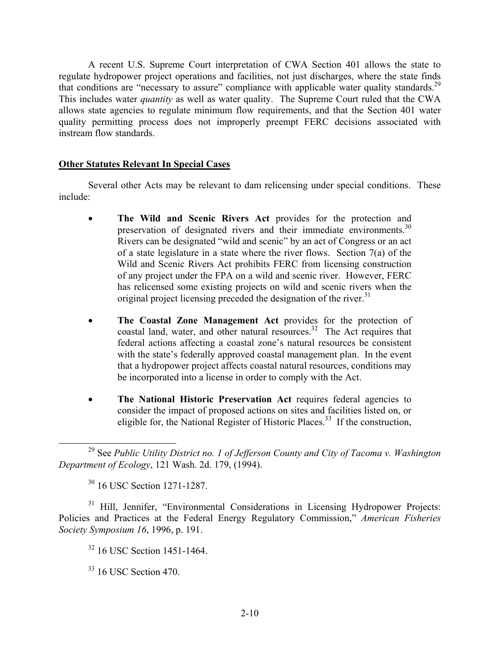A recent U.S. Supreme Court interpretation of CWA Section 401 allows the state to regulate hydropower project operations and facilities, not just discharges, where the state finds that conditions are "necessary to assure" compliance with applicable water quality standards.<sup>29</sup> This includes water *quantity* as well as water quality. The Supreme Court ruled that the CWA allows state agencies to regulate minimum flow requirements, and that the Section 401 water quality permitting process does not improperly preempt FERC decisions associated with instream flow standards.

## **Other Statutes Relevant In Special Cases**

Several other Acts may be relevant to dam relicensing under special conditions. These include:

- **The Wild and Scenic Rivers Act** provides for the protection and preservation of designated rivers and their immediate environments.<sup>30</sup> Rivers can be designated "wild and scenic" by an act of Congress or an act of a state legislature in a state where the river flows. Section 7(a) of the Wild and Scenic Rivers Act prohibits FERC from licensing construction of any project under the FPA on a wild and scenic river. However, FERC has relicensed some existing projects on wild and scenic rivers when the original project licensing preceded the designation of the river.<sup>31</sup>
- **The Coastal Zone Management Act** provides for the protection of coastal land, water, and other natural resources.<sup>32</sup> The Act requires that federal actions affecting a coastal zone's natural resources be consistent with the state's federally approved coastal management plan. In the event that a hydropower project affects coastal natural resources, conditions may be incorporated into a license in order to comply with the Act.
- **The National Historic Preservation Act** requires federal agencies to consider the impact of proposed actions on sites and facilities listed on, or eligible for, the National Register of Historic Places.<sup>33</sup> If the construction,

30 16 USC Section 1271-1287.

<sup>31</sup> Hill, Jennifer, "Environmental Considerations in Licensing Hydropower Projects: Policies and Practices at the Federal Energy Regulatory Commission," *American Fisheries Society Symposium 16*, 1996, p. 191.

32 16 USC Section 1451-1464.

33 16 USC Section 470.

<sup>29</sup> See *Public Utility District no. 1 of Jefferson County and City of Tacoma v. Washington Department of Ecology*, 121 Wash. 2d. 179, (1994).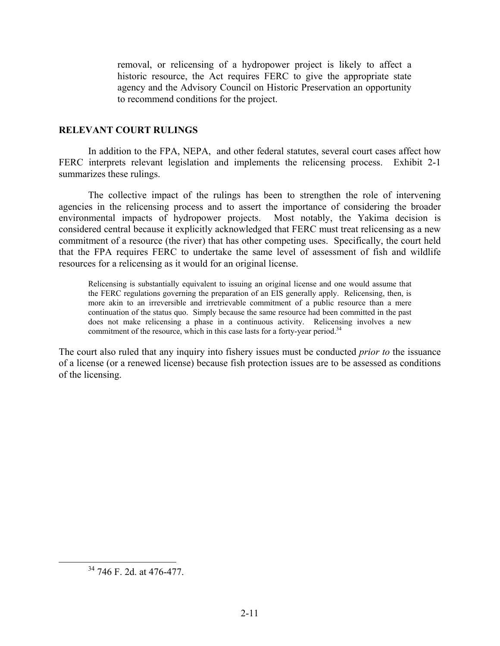removal, or relicensing of a hydropower project is likely to affect a historic resource, the Act requires FERC to give the appropriate state agency and the Advisory Council on Historic Preservation an opportunity to recommend conditions for the project.

### **RELEVANT COURT RULINGS**

In addition to the FPA, NEPA, and other federal statutes, several court cases affect how FERC interprets relevant legislation and implements the relicensing process. Exhibit 2-1 summarizes these rulings.

The collective impact of the rulings has been to strengthen the role of intervening agencies in the relicensing process and to assert the importance of considering the broader environmental impacts of hydropower projects. Most notably, the Yakima decision is considered central because it explicitly acknowledged that FERC must treat relicensing as a new commitment of a resource (the river) that has other competing uses. Specifically, the court held that the FPA requires FERC to undertake the same level of assessment of fish and wildlife resources for a relicensing as it would for an original license.

Relicensing is substantially equivalent to issuing an original license and one would assume that the FERC regulations governing the preparation of an EIS generally apply. Relicensing, then, is more akin to an irreversible and irretrievable commitment of a public resource than a mere continuation of the status quo. Simply because the same resource had been committed in the past does not make relicensing a phase in a continuous activity. Relicensing involves a new commitment of the resource, which in this case lasts for a forty-year period.<sup>34</sup>

The court also ruled that any inquiry into fishery issues must be conducted *prior to* the issuance of a license (or a renewed license) because fish protection issues are to be assessed as conditions of the licensing.

<sup>34 746</sup> F. 2d. at 476-477.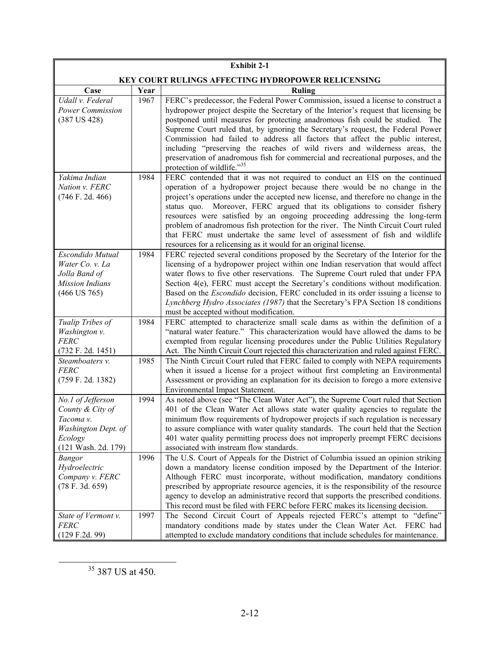| <b>Exhibit 2-1</b>                                                                                          |      |                                                                                                                                                                                                                                                                                                                                                                                                                                                                                                                                                                                                                                                       |
|-------------------------------------------------------------------------------------------------------------|------|-------------------------------------------------------------------------------------------------------------------------------------------------------------------------------------------------------------------------------------------------------------------------------------------------------------------------------------------------------------------------------------------------------------------------------------------------------------------------------------------------------------------------------------------------------------------------------------------------------------------------------------------------------|
| KEY COURT RULINGS AFFECTING HYDROPOWER RELICENSING                                                          |      |                                                                                                                                                                                                                                                                                                                                                                                                                                                                                                                                                                                                                                                       |
| Case                                                                                                        | Year | Ruling                                                                                                                                                                                                                                                                                                                                                                                                                                                                                                                                                                                                                                                |
| Udall v. Federal<br>Power Commission<br>$(387$ US $428)$                                                    | 1967 | FERC's predecessor, the Federal Power Commission, issued a license to construct a<br>hydropower project despite the Secretary of the Interior's request that licensing be<br>postponed until measures for protecting anadromous fish could be studied. The<br>Supreme Court ruled that, by ignoring the Secretary's request, the Federal Power<br>Commission had failed to address all factors that affect the public interest,<br>including "preserving the reaches of wild rivers and wilderness areas, the<br>preservation of anadromous fish for commercial and recreational purposes, and the<br>protection of wildlife."35                      |
| Yakima Indian<br>Nation v. FERC<br>$(746$ F. 2d. 466)                                                       | 1984 | FERC contended that it was not required to conduct an EIS on the continued<br>operation of a hydropower project because there would be no change in the<br>project's operations under the accepted new license, and therefore no change in the<br>status quo.<br>Moreover, FERC argued that its obligations to consider fishery<br>resources were satisfied by an ongoing proceeding addressing the long-term<br>problem of anadromous fish protection for the river. The Ninth Circuit Court ruled<br>that FERC must undertake the same level of assessment of fish and wildlife<br>resources for a relicensing as it would for an original license. |
| Escondido Mutual<br>Water Co. v. La<br>Jolla Band of<br>Mission Indians<br>$(466$ US 765)                   | 1984 | FERC rejected several conditions proposed by the Secretary of the Interior for the<br>licensing of a hydropower project within one Indian reservation that would affect<br>water flows to five other reservations. The Supreme Court ruled that under FPA<br>Section 4(e), FERC must accept the Secretary's conditions without modification.<br>Based on the <i>Escondido</i> decision, FERC concluded in its order issuing a license to<br>Lynchberg Hydro Associates (1987) that the Secretary's FPA Section 18 conditions<br>must be accepted without modification.                                                                                |
| Tualip Tribes of<br>Washington v.<br><b>FERC</b><br>(732 F. 2d. 1451)                                       | 1984 | FERC attempted to characterize small scale dams as within the definition of a<br>"natural water feature." This characterization would have allowed the dams to be<br>exempted from regular licensing procedures under the Public Utilities Regulatory<br>Act. The Ninth Circuit Court rejected this characterization and ruled against FERC.                                                                                                                                                                                                                                                                                                          |
| Steamboaters v.<br><b>FERC</b><br>(759 F. 2d. 1382)                                                         | 1985 | The Ninth Circuit Court ruled that FERC failed to comply with NEPA requirements<br>when it issued a license for a project without first completing an Environmental<br>Assessment or providing an explanation for its decision to forego a more extensive<br>Environmental Impact Statement.                                                                                                                                                                                                                                                                                                                                                          |
| No.1 of Jefferson<br>County & City of<br>Tacoma v.<br>Washington Dept. of<br>Ecology<br>(121 Wash. 2d. 179) | 1994 | As noted above (see "The Clean Water Act"), the Supreme Court ruled that Section<br>401 of the Clean Water Act allows state water quality agencies to regulate the<br>minimum flow requirements of hydropower projects if such regulation is necessary<br>to assure compliance with water quality standards. The court held that the Section<br>401 water quality permitting process does not improperly preempt FERC decisions<br>associated with instream flow standards.                                                                                                                                                                           |
| <b>Bangor</b><br>Hydroelectric<br>Company v. FERC<br>(78 F. 3d. 659)                                        | 1996 | The U.S. Court of Appeals for the District of Columbia issued an opinion striking<br>down a mandatory license condition imposed by the Department of the Interior.<br>Although FERC must incorporate, without modification, mandatory conditions<br>prescribed by appropriate resource agencies, it is the responsibility of the resource<br>agency to develop an administrative record that supports the prescribed conditions.<br>This record must be filed with FERC before FERC makes its licensing decision.                                                                                                                                     |
| State of Vermont v.<br><b>FERC</b><br>(129 F.2d. 99)                                                        | 1997 | The Second Circuit Court of Appeals rejected FERC's attempt to "define"<br>mandatory conditions made by states under the Clean Water Act. FERC had<br>attempted to exclude mandatory conditions that include schedules for maintenance.                                                                                                                                                                                                                                                                                                                                                                                                               |

<sup>&</sup>lt;sup>35</sup> 387 US at 450.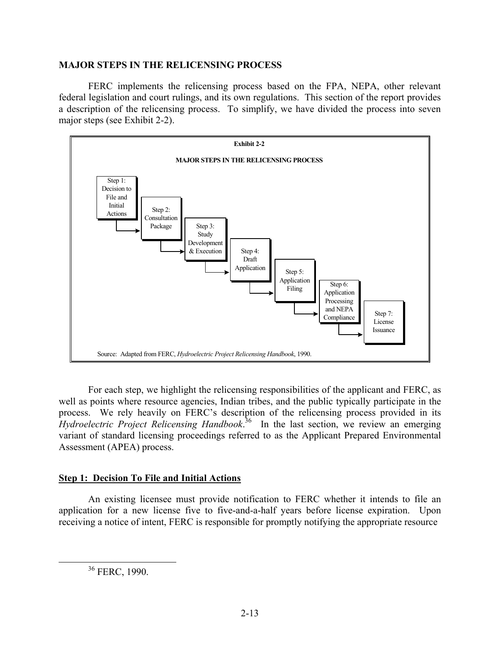#### **MAJOR STEPS IN THE RELICENSING PROCESS**

FERC implements the relicensing process based on the FPA, NEPA, other relevant federal legislation and court rulings, and its own regulations. This section of the report provides a description of the relicensing process. To simplify, we have divided the process into seven major steps (see Exhibit 2-2).



For each step, we highlight the relicensing responsibilities of the applicant and FERC, as well as points where resource agencies, Indian tribes, and the public typically participate in the process. We rely heavily on FERC's description of the relicensing process provided in its *Hydroelectric Project Relicensing Handbook*. 36 In the last section, we review an emerging variant of standard licensing proceedings referred to as the Applicant Prepared Environmental Assessment (APEA) process.

## **Step 1: Decision To File and Initial Actions**

An existing licensee must provide notification to FERC whether it intends to file an application for a new license five to five-and-a-half years before license expiration. Upon receiving a notice of intent, FERC is responsible for promptly notifying the appropriate resource

36 FERC, 1990.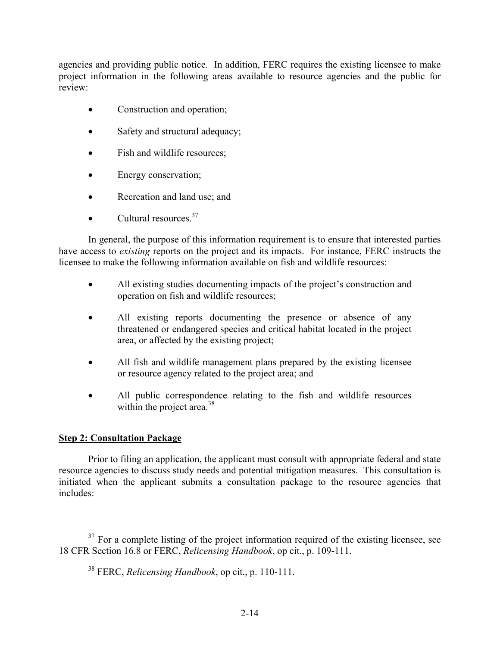agencies and providing public notice. In addition, FERC requires the existing licensee to make project information in the following areas available to resource agencies and the public for review:

- Construction and operation;
- Safety and structural adequacy;
- Fish and wildlife resources;
- Energy conservation;
- Recreation and land use; and
- Cultural resources  $37$

In general, the purpose of this information requirement is to ensure that interested parties have access to *existing* reports on the project and its impacts. For instance, FERC instructs the licensee to make the following information available on fish and wildlife resources:

- All existing studies documenting impacts of the project's construction and operation on fish and wildlife resources;
- All existing reports documenting the presence or absence of any threatened or endangered species and critical habitat located in the project area, or affected by the existing project;
- All fish and wildlife management plans prepared by the existing licensee or resource agency related to the project area; and
- All public correspondence relating to the fish and wildlife resources within the project area. $38$

## **Step 2: Consultation Package**

Prior to filing an application, the applicant must consult with appropriate federal and state resource agencies to discuss study needs and potential mitigation measures. This consultation is initiated when the applicant submits a consultation package to the resource agencies that includes:

 $37$  For a complete listing of the project information required of the existing licensee, see 18 CFR Section 16.8 or FERC, *Relicensing Handbook*, op cit., p. 109-111.

<sup>38</sup> FERC, *Relicensing Handbook*, op cit., p. 110-111.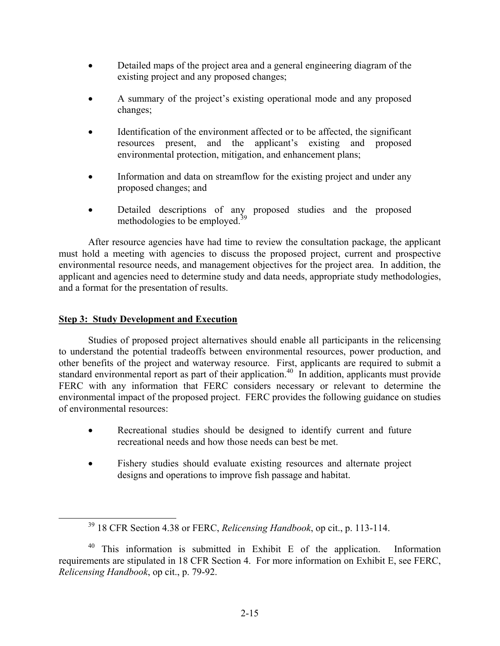- Detailed maps of the project area and a general engineering diagram of the existing project and any proposed changes;
- A summary of the project's existing operational mode and any proposed changes;
- Identification of the environment affected or to be affected, the significant resources present, and the applicant's existing and proposed environmental protection, mitigation, and enhancement plans;
- Information and data on streamflow for the existing project and under any proposed changes; and
- Detailed descriptions of any proposed studies and the proposed methodologies to be employed. $39$

After resource agencies have had time to review the consultation package, the applicant must hold a meeting with agencies to discuss the proposed project, current and prospective environmental resource needs, and management objectives for the project area. In addition, the applicant and agencies need to determine study and data needs, appropriate study methodologies, and a format for the presentation of results.

## **Step 3: Study Development and Execution**

Studies of proposed project alternatives should enable all participants in the relicensing to understand the potential tradeoffs between environmental resources, power production, and other benefits of the project and waterway resource. First, applicants are required to submit a standard environmental report as part of their application.<sup>40</sup> In addition, applicants must provide FERC with any information that FERC considers necessary or relevant to determine the environmental impact of the proposed project. FERC provides the following guidance on studies of environmental resources:

- Recreational studies should be designed to identify current and future recreational needs and how those needs can best be met.
- Fishery studies should evaluate existing resources and alternate project designs and operations to improve fish passage and habitat.

<sup>39 18</sup> CFR Section 4.38 or FERC, *Relicensing Handbook*, op cit., p. 113-114.

<sup>&</sup>lt;sup>40</sup> This information is submitted in Exhibit E of the application. Information requirements are stipulated in 18 CFR Section 4. For more information on Exhibit E, see FERC, *Relicensing Handbook*, op cit., p. 79-92.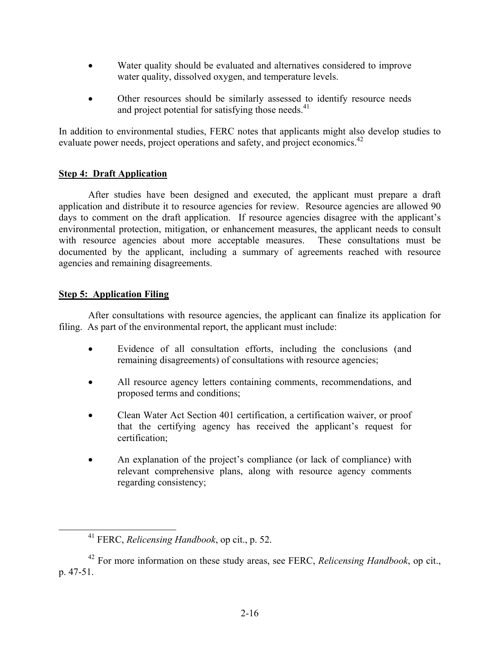- Water quality should be evaluated and alternatives considered to improve water quality, dissolved oxygen, and temperature levels.
- Other resources should be similarly assessed to identify resource needs and project potential for satisfying those needs. $41$

In addition to environmental studies, FERC notes that applicants might also develop studies to evaluate power needs, project operations and safety, and project economics.<sup>42</sup>

## **Step 4: Draft Application**

After studies have been designed and executed, the applicant must prepare a draft application and distribute it to resource agencies for review. Resource agencies are allowed 90 days to comment on the draft application. If resource agencies disagree with the applicant's environmental protection, mitigation, or enhancement measures, the applicant needs to consult with resource agencies about more acceptable measures. These consultations must be documented by the applicant, including a summary of agreements reached with resource agencies and remaining disagreements.

## **Step 5: Application Filing**

After consultations with resource agencies, the applicant can finalize its application for filing. As part of the environmental report, the applicant must include:

- Evidence of all consultation efforts, including the conclusions (and remaining disagreements) of consultations with resource agencies;
- All resource agency letters containing comments, recommendations, and proposed terms and conditions;
- Clean Water Act Section 401 certification, a certification waiver, or proof that the certifying agency has received the applicant's request for certification;
- An explanation of the project's compliance (or lack of compliance) with relevant comprehensive plans, along with resource agency comments regarding consistency;

<sup>41</sup> FERC, *Relicensing Handbook*, op cit., p. 52.

<sup>42</sup> For more information on these study areas, see FERC, *Relicensing Handbook*, op cit., p. 47-51.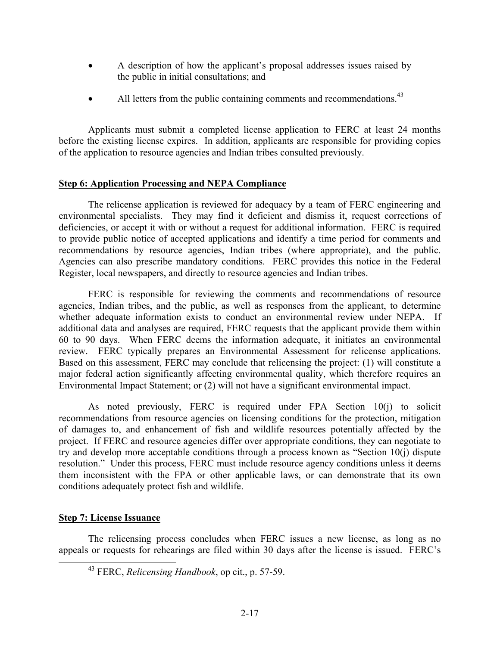- A description of how the applicant's proposal addresses issues raised by the public in initial consultations; and
- All letters from the public containing comments and recommendations.<sup>43</sup>

Applicants must submit a completed license application to FERC at least 24 months before the existing license expires. In addition, applicants are responsible for providing copies of the application to resource agencies and Indian tribes consulted previously.

## **Step 6: Application Processing and NEPA Compliance**

The relicense application is reviewed for adequacy by a team of FERC engineering and environmental specialists. They may find it deficient and dismiss it, request corrections of deficiencies, or accept it with or without a request for additional information. FERC is required to provide public notice of accepted applications and identify a time period for comments and recommendations by resource agencies, Indian tribes (where appropriate), and the public. Agencies can also prescribe mandatory conditions. FERC provides this notice in the Federal Register, local newspapers, and directly to resource agencies and Indian tribes.

FERC is responsible for reviewing the comments and recommendations of resource agencies, Indian tribes, and the public, as well as responses from the applicant, to determine whether adequate information exists to conduct an environmental review under NEPA. If additional data and analyses are required, FERC requests that the applicant provide them within 60 to 90 days. When FERC deems the information adequate, it initiates an environmental review. FERC typically prepares an Environmental Assessment for relicense applications. Based on this assessment, FERC may conclude that relicensing the project: (1) will constitute a major federal action significantly affecting environmental quality, which therefore requires an Environmental Impact Statement; or (2) will not have a significant environmental impact.

As noted previously, FERC is required under FPA Section 10(j) to solicit recommendations from resource agencies on licensing conditions for the protection, mitigation of damages to, and enhancement of fish and wildlife resources potentially affected by the project. If FERC and resource agencies differ over appropriate conditions, they can negotiate to try and develop more acceptable conditions through a process known as "Section 10(j) dispute resolution." Under this process, FERC must include resource agency conditions unless it deems them inconsistent with the FPA or other applicable laws, or can demonstrate that its own conditions adequately protect fish and wildlife.

## **Step 7: License Issuance**

The relicensing process concludes when FERC issues a new license, as long as no appeals or requests for rehearings are filed within 30 days after the license is issued. FERC's

<sup>43</sup> FERC, *Relicensing Handbook*, op cit., p. 57-59.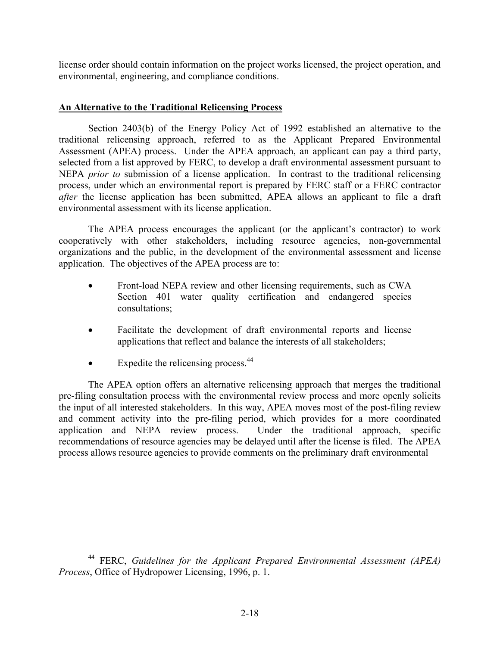license order should contain information on the project works licensed, the project operation, and environmental, engineering, and compliance conditions.

## **An Alternative to the Traditional Relicensing Process**

Section 2403(b) of the Energy Policy Act of 1992 established an alternative to the traditional relicensing approach, referred to as the Applicant Prepared Environmental Assessment (APEA) process. Under the APEA approach, an applicant can pay a third party, selected from a list approved by FERC, to develop a draft environmental assessment pursuant to NEPA *prior to* submission of a license application. In contrast to the traditional relicensing process, under which an environmental report is prepared by FERC staff or a FERC contractor *after* the license application has been submitted, APEA allows an applicant to file a draft environmental assessment with its license application.

The APEA process encourages the applicant (or the applicant's contractor) to work cooperatively with other stakeholders, including resource agencies, non-governmental organizations and the public, in the development of the environmental assessment and license application. The objectives of the APEA process are to:

- Front-load NEPA review and other licensing requirements, such as CWA Section 401 water quality certification and endangered species consultations;
- Facilitate the development of draft environmental reports and license applications that reflect and balance the interests of all stakeholders;
- Expedite the relicensing process. $44$

The APEA option offers an alternative relicensing approach that merges the traditional pre-filing consultation process with the environmental review process and more openly solicits the input of all interested stakeholders. In this way, APEA moves most of the post-filing review and comment activity into the pre-filing period, which provides for a more coordinated application and NEPA review process. Under the traditional approach, specific recommendations of resource agencies may be delayed until after the license is filed. The APEA process allows resource agencies to provide comments on the preliminary draft environmental

<sup>44</sup> FERC, *Guidelines for the Applicant Prepared Environmental Assessment (APEA) Process*, Office of Hydropower Licensing, 1996, p. 1.